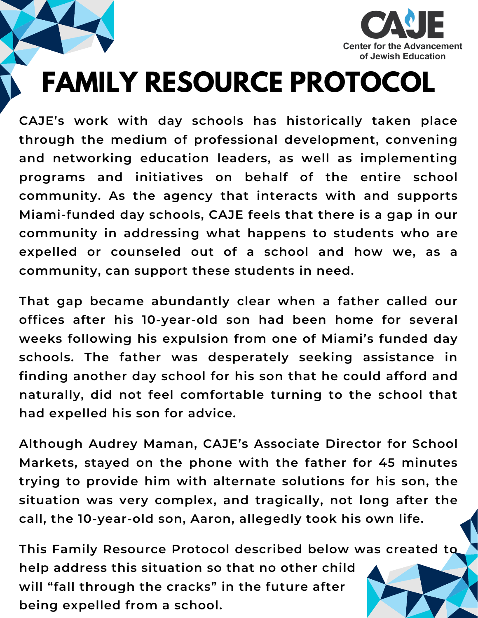

## **FAMILY RESOURCE PROTOCOL**

**CAJE's work with day schools has historically taken place through the medium of professional development, convening and networking education leaders, as well as implementing programs and initiatives on behalf of the entire school community. As the agency that interacts with and supports Miami-funded day schools, CAJE feels that there is a gap in our community in addressing what happens to students who are expelled or counseled out of a school and how we, as a community, can support these students in need.**

**That gap became abundantly clear when a father called our offices after his 10-year-old son had been home for several weeks following his expulsion from one of Miami's funded day schools. The father was desperately seeking assistance in finding another day school for his son that he could afford and naturally, did not feel comfortable turning to the school that had expelled his son for advice.**

**Although Audrey Maman, CAJE's Associate Director for School Markets, stayed on the phone with the father for 45 minutes trying to provide him with alternate solutions for his son, the situation was very complex, and tragically, not long after the call, the 10-year-old son, Aaron, allegedly took his own life.**

**This Family Resource Protocol described below was created to help address this situation so that no other child will "fall through the cracks" in the future after being expelled from a school.**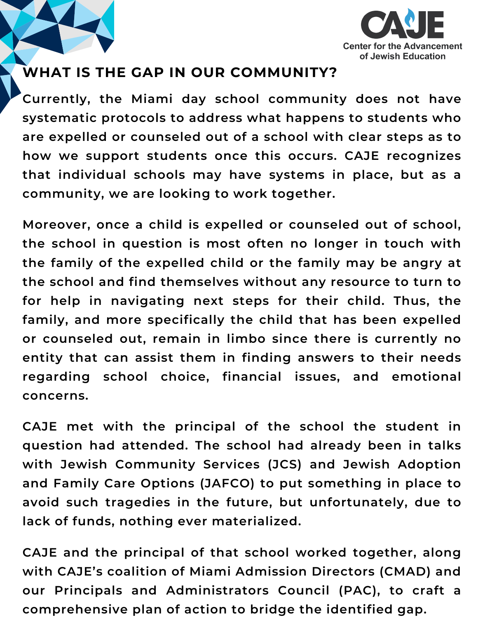

## **WHAT IS THE GAP IN OUR COMMUNITY?**

**Currently, the Miami day school community does not have systematic protocols to address what happens to students who are expelled or counseled out of a school with clear steps as to how we support students once this occurs. CAJE recognizes that individual schools may have systems in place, but as a community, we are looking to work together.**

**Moreover, once a child is expelled or counseled out of school, the school in question is most often no longer in touch with the family of the expelled child or the family may be angry at the school and find themselves without any resource to turn to for help in navigating next steps for their child. Thus, the family, and more specifically the child that has been expelled or counseled out, remain in limbo since there is currently no entity that can assist them in finding answers to their needs regarding school choice, financial issues, and emotional concerns.**

**CAJE met with the principal of the school the student in question had attended. The school had already been in talks with Jewish Community Services (JCS) and Jewish Adoption and Family Care Options (JAFCO) to put something in place to avoid such tragedies in the future, but unfortunately, due to lack of funds, nothing ever materialized.**

**CAJE and the principal of that school worked together, along with CAJE's coalition of Miami Admission Directors (CMAD) and our Principals and Administrators Council (PAC), to craft a comprehensive plan of action to bridge the identified gap.**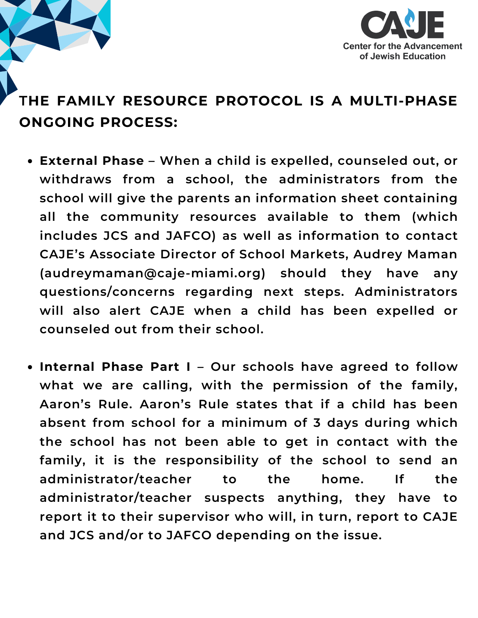

## **THE FAMILY RESOURCE PROTOCOL IS A MULTI-PHASE ONGOING PROCESS:**

- **External Phase – When a child is expelled, counseled out, or withdraws from a school, the administrators from the school will give the parents an information sheet containing all the community resources available to them (which includes JCS and JAFCO) as well as information to contact CAJE's Associate Director of School Markets, Audrey Maman (audreymaman@caje-miami.org) should they have any questions/concerns regarding next steps. Administrators will also alert CAJE when a child has been expelled or counseled out from their school.**
- **Internal Phase Part I – Our schools have agreed to follow what we are calling, with the permission of the family, Aaron's Rule. Aaron's Rule states that if a child has been absent from school for a minimum of 3 days during which the school has not been able to get in contact with the family, it is the responsibility of the school to send an administrator/teacher to the home. If the administrator/teacher suspects anything, they have to report it to their supervisor who will, in turn, report to CAJE and JCS and/or to JAFCO depending on the issue.**